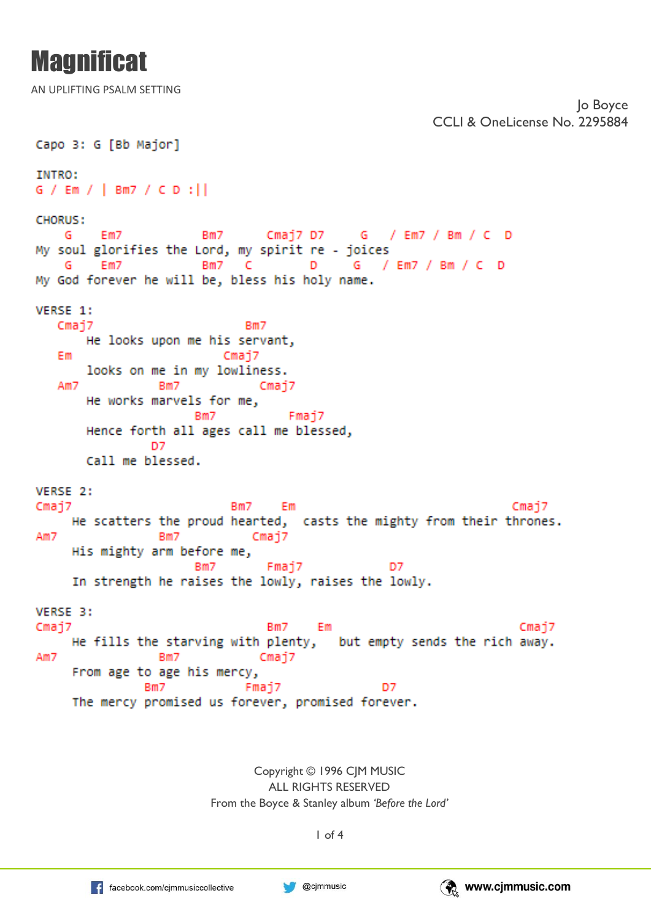AN UPLIFTING PSALM SETTING

```
CCLI & OneLicense No. 2295884
Capo 3: G [Bb Major]
INTRO:
G / Em / | Bm7 / CD : |CHORUS:
                       Bm7
                               Cmaj7 D7 G / Em7 / Bm / C D
    G
         Em7
My soul glorifies the Lord, my spirit re - joices
                       Bm7
                            -C
                                      D
                                           G / Em7 / Bm / C D
    G
         Em7
My God forever he will be, bless his holy name.
VERSE 1:
   Cmaj7
                             Bm7He looks upon me his servant,
   Em
                          Cmai7
       looks on me in my lowliness.
   Am7
                               Cmaj7
                 Bm7
       He works marvels for me,
                      Bm7
                                   Fmaj7
       Hence forth all ages call me blessed,
                D7
       Call me blessed.
VERSE 2:
Cmaj7
                           Bm7 Em
                                                                   Cmai7
     He scatters the proud hearted, casts the mighty from their thrones.
Am7
                 Bm7
                              Cmaj7
     His mighty arm before me,
                      Bm7
                                Fmaj7
                                                 D7
     In strength he raises the lowly, raises the lowly.
VERSE 3:
Cmaj7
                                Bm7
                                      Em
                                                                    Cmaj7
     He fills the starving with plenty, but empty sends the rich away.
Am7
                 Bm7
                               Cmaj7
     From age to age his mercy,
               Bm7
                             Fmaj7
                                                D7
     The mercy promised us forever, promised forever.
```
Copyright © 1996 CJM MUSIC ALL RIGHTS RESERVED From the Boyce & Stanley album *'Before the Lord'*

1 of 4



Jo Boyce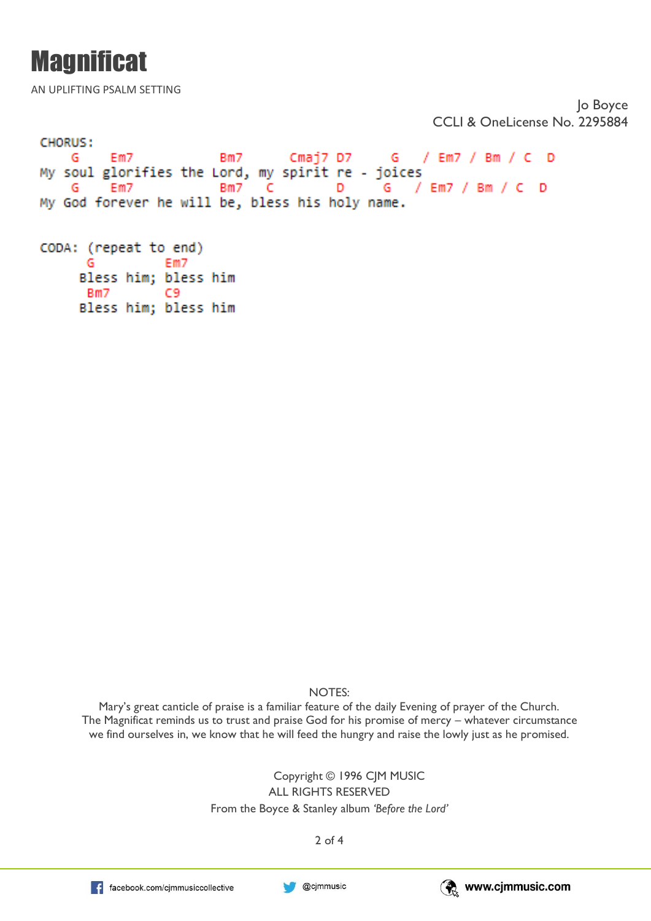AN UPLIFTING PSALM SETTING

Jo Boyce CCLI & OneLicense No. 2295884

```
CHORUS:
        Em7
   G
                       Rm7Cmaj7 D7
                                         G / Em7 / Bm / C D
My soul glorifies the Lord, my spirit re - joices
                            C
                                      D
                                               / Em7 / Bm / C DG
         Em7
                       BmZG
My God forever he will be, bless his holy name.
CODA: (repeat to end)
      G
                Em7
     Bless him; bless him
     Bm7
                C9
```
Bless him; bless him

NOTES:

Mary's great canticle of praise is a familiar feature of the daily Evening of prayer of the Church. The Magnificat reminds us to trust and praise God for his promise of mercy – whatever circumstance we find ourselves in, we know that he will feed the hungry and raise the lowly just as he promised.

> Copyright © 1996 CJM MUSIC ALL RIGHTS RESERVED From the Boyce & Stanley album *'Before the Lord'*

> > 2 of 4

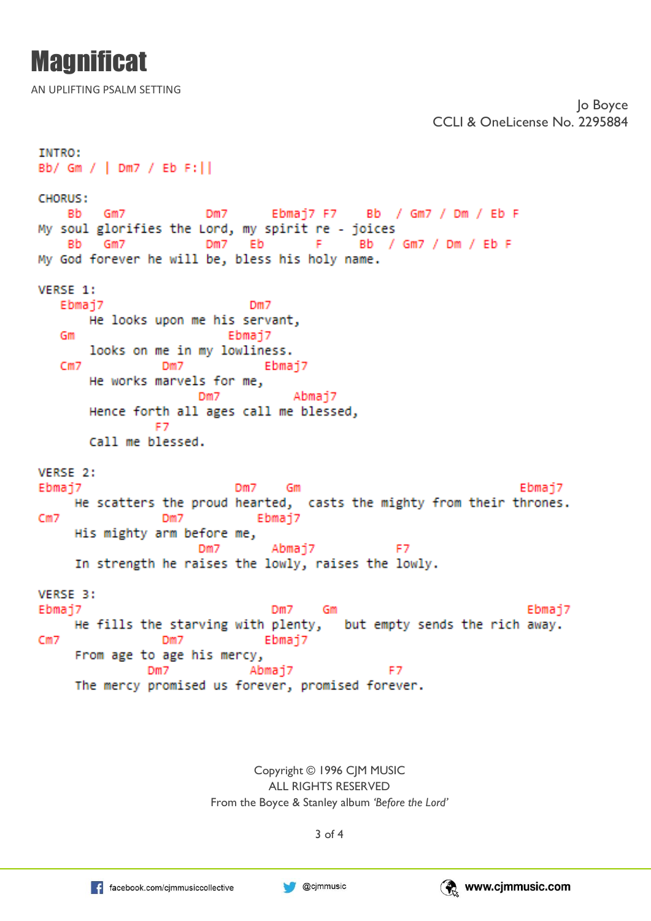AN UPLIFTING PSALM SETTING

```
CCLI & OneLicense No. 2295884
INTRO:
Bb/ Gm / | Dm7 / Eb F: | |
CHORUS:
                       Dm7 Ebmaj7 F7 Bb / Gm7 / Dm / Eb F
    Bb
       Gm7
My soul glorifies the Lord, my spirit re - joices
    Bb Gm7
                       Dm7
                            Eb
                                     - F.
                                           Bb / Gm7 / Dm / Eb F
My God forever he will be, bless his holy name.
VERSE 1:
  Ebmaj7
                             Dm7
       He looks upon me his servant,
                          Ebmaj7
   Gm
       looks on me in my lowliness.
   CmZDm7
                               Ebmai7
       He works marvels for me,
                      Dm7
                                   Abmai7
       Hence forth all ages call me blessed,
                -F7
       Call me blessed.
VERSE 2:
Ebmaj7
                           Dm7
                                  Gm
                                                                   Ebmaj7
     He scatters the proud hearted, casts the mighty from their thrones.
Cm7
                 Dm7
                              Ebmaj7
     His mighty arm before me,
                      Dm7
                                Abmaj7
                                                 F7
     In strength he raises the lowly, raises the lowly.
VERSE 3:
Ebmaj7
                                Dm7
                                                                    Ebmaj7
                                      - Gm
                                        but empty sends the rich away.
     He fills the starving with plenty,
Cm7
                 Dm7
                               Ebmaj7
     From age to age his mercy,
               Dm7
                                                F7
                             Abmaj7
     The mercy promised us forever, promised forever.
```
Copyright © 1996 CJM MUSIC ALL RIGHTS RESERVED From the Boyce & Stanley album *'Before the Lord'*

3 of 4





Jo Boyce